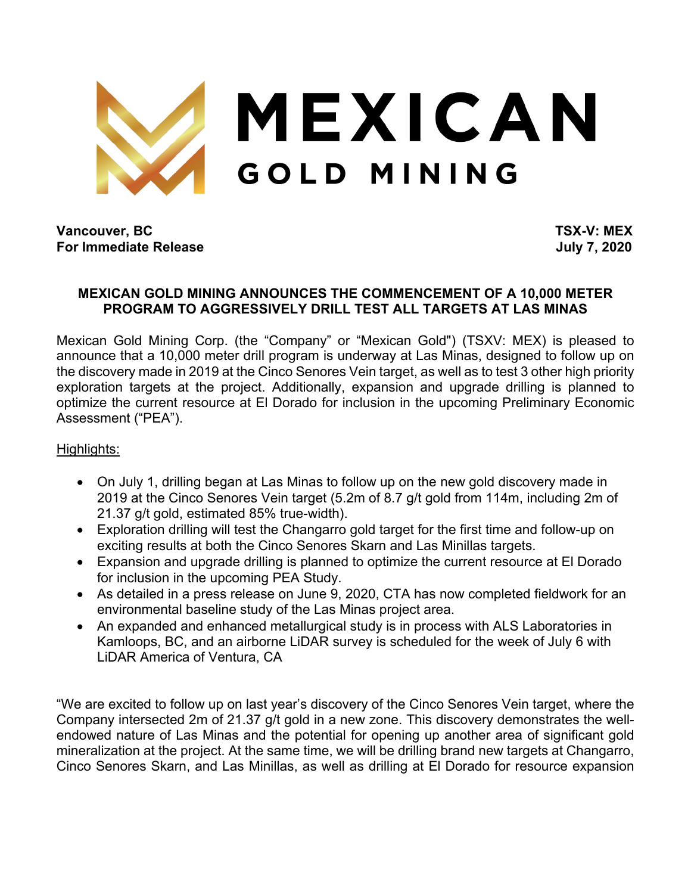

**Vancouver, BC TSX-V: MEX For Immediate Release Security 10 and 2020** 

## **MEXICAN GOLD MINING ANNOUNCES THE COMMENCEMENT OF A 10,000 METER PROGRAM TO AGGRESSIVELY DRILL TEST ALL TARGETS AT LAS MINAS**

Mexican Gold Mining Corp. (the "Company" or "Mexican Gold") (TSXV: MEX) is pleased to announce that a 10,000 meter drill program is underway at Las Minas, designed to follow up on the discovery made in 2019 at the Cinco Senores Vein target, as well as to test 3 other high priority exploration targets at the project. Additionally, expansion and upgrade drilling is planned to optimize the current resource at El Dorado for inclusion in the upcoming Preliminary Economic Assessment ("PEA").

## Highlights:

- On July 1, drilling began at Las Minas to follow up on the new gold discovery made in 2019 at the Cinco Senores Vein target (5.2m of 8.7 g/t gold from 114m, including 2m of 21.37 g/t gold, estimated 85% true-width).
- Exploration drilling will test the Changarro gold target for the first time and follow-up on exciting results at both the Cinco Senores Skarn and Las Minillas targets.
- Expansion and upgrade drilling is planned to optimize the current resource at El Dorado for inclusion in the upcoming PEA Study.
- As detailed in a press release on June 9, 2020, CTA has now completed fieldwork for an environmental baseline study of the Las Minas project area.
- An expanded and enhanced metallurgical study is in process with ALS Laboratories in Kamloops, BC, and an airborne LiDAR survey is scheduled for the week of July 6 with LiDAR America of Ventura, CA

"We are excited to follow up on last year's discovery of the Cinco Senores Vein target, where the Company intersected 2m of 21.37 g/t gold in a new zone. This discovery demonstrates the wellendowed nature of Las Minas and the potential for opening up another area of significant gold mineralization at the project. At the same time, we will be drilling brand new targets at Changarro, Cinco Senores Skarn, and Las Minillas, as well as drilling at El Dorado for resource expansion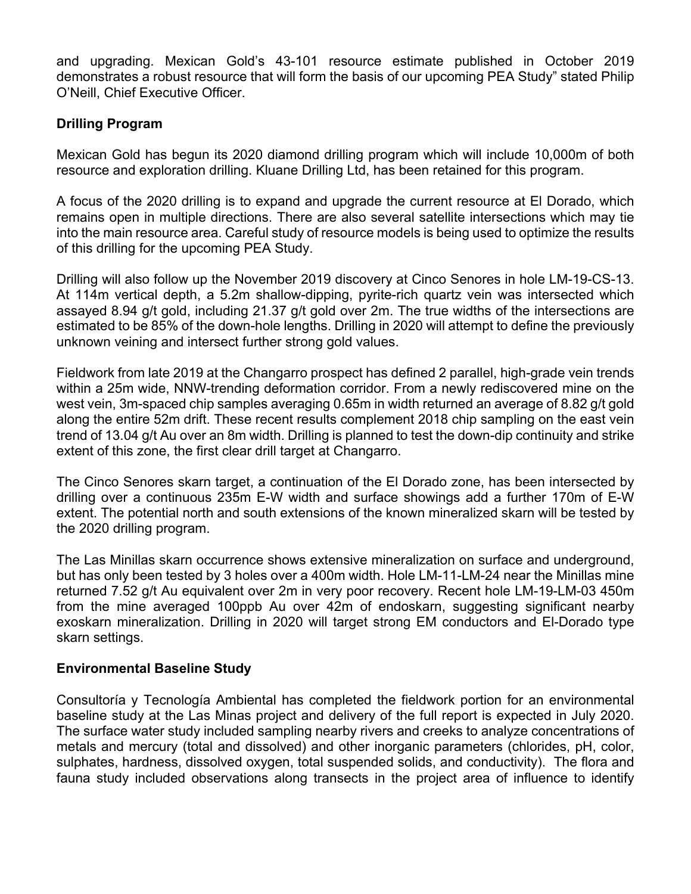and upgrading. Mexican Gold's 43-101 resource estimate published in October 2019 demonstrates a robust resource that will form the basis of our upcoming PEA Study" stated Philip O'Neill, Chief Executive Officer.

# **Drilling Program**

Mexican Gold has begun its 2020 diamond drilling program which will include 10,000m of both resource and exploration drilling. Kluane Drilling Ltd, has been retained for this program.

A focus of the 2020 drilling is to expand and upgrade the current resource at El Dorado, which remains open in multiple directions. There are also several satellite intersections which may tie into the main resource area. Careful study of resource models is being used to optimize the results of this drilling for the upcoming PEA Study.

Drilling will also follow up the November 2019 discovery at Cinco Senores in hole LM-19-CS-13. At 114m vertical depth, a 5.2m shallow-dipping, pyrite-rich quartz vein was intersected which assayed 8.94 g/t gold, including 21.37 g/t gold over 2m. The true widths of the intersections are estimated to be 85% of the down-hole lengths. Drilling in 2020 will attempt to define the previously unknown veining and intersect further strong gold values.

Fieldwork from late 2019 at the Changarro prospect has defined 2 parallel, high-grade vein trends within a 25m wide, NNW-trending deformation corridor. From a newly rediscovered mine on the west vein, 3m-spaced chip samples averaging 0.65m in width returned an average of 8.82 g/t gold along the entire 52m drift. These recent results complement 2018 chip sampling on the east vein trend of 13.04 g/t Au over an 8m width. Drilling is planned to test the down-dip continuity and strike extent of this zone, the first clear drill target at Changarro.

The Cinco Senores skarn target, a continuation of the El Dorado zone, has been intersected by drilling over a continuous 235m E-W width and surface showings add a further 170m of E-W extent. The potential north and south extensions of the known mineralized skarn will be tested by the 2020 drilling program.

The Las Minillas skarn occurrence shows extensive mineralization on surface and underground, but has only been tested by 3 holes over a 400m width. Hole LM-11-LM-24 near the Minillas mine returned 7.52 g/t Au equivalent over 2m in very poor recovery. Recent hole LM-19-LM-03 450m from the mine averaged 100ppb Au over 42m of endoskarn, suggesting significant nearby exoskarn mineralization. Drilling in 2020 will target strong EM conductors and El-Dorado type skarn settings.

## **Environmental Baseline Study**

Consultoría y Tecnología Ambiental has completed the fieldwork portion for an environmental baseline study at the Las Minas project and delivery of the full report is expected in July 2020. The surface water study included sampling nearby rivers and creeks to analyze concentrations of metals and mercury (total and dissolved) and other inorganic parameters (chlorides, pH, color, sulphates, hardness, dissolved oxygen, total suspended solids, and conductivity). The flora and fauna study included observations along transects in the project area of influence to identify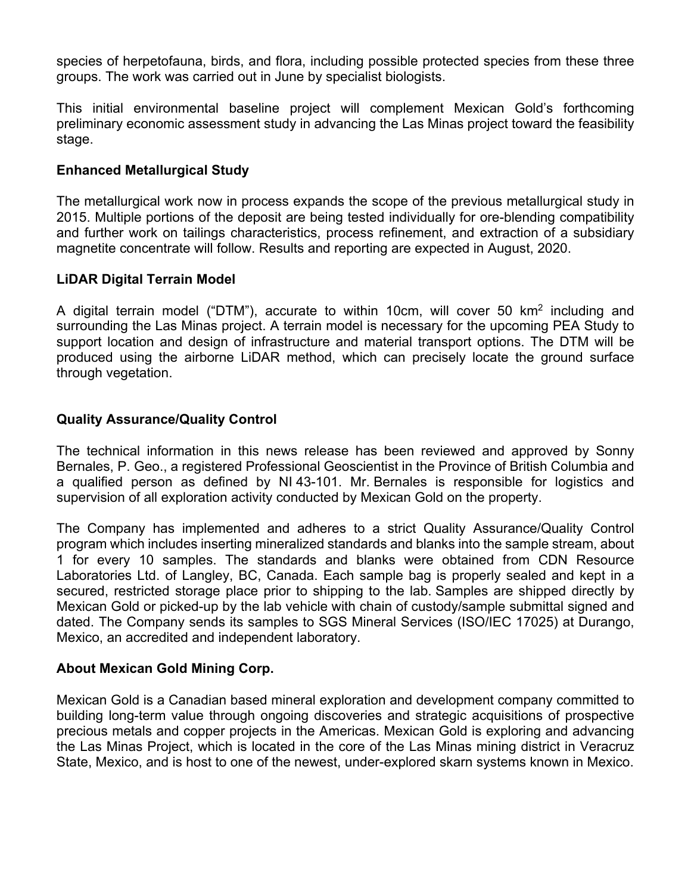species of herpetofauna, birds, and flora, including possible protected species from these three groups. The work was carried out in June by specialist biologists.

This initial environmental baseline project will complement Mexican Gold's forthcoming preliminary economic assessment study in advancing the Las Minas project toward the feasibility stage.

#### **Enhanced Metallurgical Study**

The metallurgical work now in process expands the scope of the previous metallurgical study in 2015. Multiple portions of the deposit are being tested individually for ore-blending compatibility and further work on tailings characteristics, process refinement, and extraction of a subsidiary magnetite concentrate will follow. Results and reporting are expected in August, 2020.

#### **LiDAR Digital Terrain Model**

A digital terrain model ("DTM"), accurate to within 10cm, will cover 50 km2 including and surrounding the Las Minas project. A terrain model is necessary for the upcoming PEA Study to support location and design of infrastructure and material transport options. The DTM will be produced using the airborne LiDAR method, which can precisely locate the ground surface through vegetation.

#### **Quality Assurance/Quality Control**

The technical information in this news release has been reviewed and approved by Sonny Bernales, P. Geo., a registered Professional Geoscientist in the Province of British Columbia and a qualified person as defined by NI 43-101. Mr. Bernales is responsible for logistics and supervision of all exploration activity conducted by Mexican Gold on the property.

The Company has implemented and adheres to a strict Quality Assurance/Quality Control program which includes inserting mineralized standards and blanks into the sample stream, about 1 for every 10 samples. The standards and blanks were obtained from CDN Resource Laboratories Ltd. of Langley, BC, Canada. Each sample bag is properly sealed and kept in a secured, restricted storage place prior to shipping to the lab. Samples are shipped directly by Mexican Gold or picked-up by the lab vehicle with chain of custody/sample submittal signed and dated. The Company sends its samples to SGS Mineral Services (ISO/IEC 17025) at Durango, Mexico, an accredited and independent laboratory.

#### **About Mexican Gold Mining Corp.**

Mexican Gold is a Canadian based mineral exploration and development company committed to building long-term value through ongoing discoveries and strategic acquisitions of prospective precious metals and copper projects in the Americas. Mexican Gold is exploring and advancing the Las Minas Project, which is located in the core of the Las Minas mining district in Veracruz State, Mexico, and is host to one of the newest, under-explored skarn systems known in Mexico.